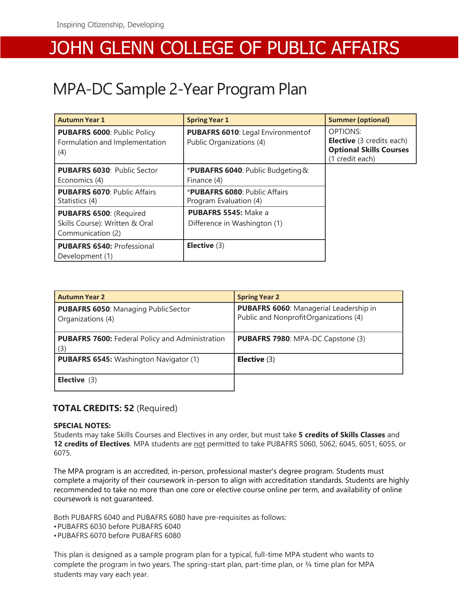## JOHN GLENN COLLEGE OF PUBLIC AFFAIRS

## MPA-DC Sample 2-Year Program Plan

| <b>Autumn Year 1</b>                                                           | <b>Spring Year 1</b>                                           | <b>Summer (optional)</b>                                                                                 |
|--------------------------------------------------------------------------------|----------------------------------------------------------------|----------------------------------------------------------------------------------------------------------|
| <b>PUBAFRS 6000: Public Policy</b><br>Formulation and Implementation<br>(4)    | PUBAFRS 6010: Legal Environment of<br>Public Organizations (4) | <b>OPTIONS:</b><br><b>Elective</b> (3 credits each)<br><b>Optional Skills Courses</b><br>(1 credit each) |
| <b>PUBAFRS 6030: Public Sector</b><br>Economics (4)                            | *PUBAFRS 6040: Public Budgeting &<br>Finance (4)               |                                                                                                          |
| <b>PUBAFRS 6070: Public Affairs</b><br>Statistics (4)                          | <b>*PUBAFRS 6080: Public Affairs</b><br>Program Evaluation (4) |                                                                                                          |
| PUBAFRS 6500: (Required<br>Skills Course): Written & Oral<br>Communication (2) | <b>PUBAFRS 5545: Make a</b><br>Difference in Washington (1)    |                                                                                                          |
| <b>PUBAFRS 6540: Professional</b><br>Development (1)                           | Elective $(3)$                                                 |                                                                                                          |

| <b>Autumn Year 2</b>                                            | <b>Spring Year 2</b>                                                                   |
|-----------------------------------------------------------------|----------------------------------------------------------------------------------------|
| <b>PUBAFRS 6050: Managing PublicSector</b><br>Organizations (4) | <b>PUBAFRS 6060: Managerial Leadership in</b><br>Public and NonprofitOrganizations (4) |
| <b>PUBAFRS 7600: Federal Policy and Administration</b><br>(3)   | <b>PUBAFRS 7980: MPA-DC Capstone (3)</b>                                               |
| <b>PUBAFRS 6545:</b> Washington Navigator (1)                   | Elective $(3)$                                                                         |
| <b>Elective</b> $(3)$                                           |                                                                                        |

#### **TOTAL CREDITS: 52** (Required)

#### **SPECIAL NOTES:**

Students may take Skills Courses and Electives in any order, but must take **5 credits of Skills Classes** and **12 credits of Electives**. MPA students are not permitted to take PUBAFRS 5060, 5062, 6045, 6051, 6055, or 6075.

The MPA program is an accredited, in-person, professional master's degree program. Students must complete a majority of their coursework in-person to align with accreditation standards. Students are highly recommended to take no more than one core or elective course online per term, and availability of online coursework is not guaranteed.

Both PUBAFRS 6040 and PUBAFRS 6080 have pre-requisites as follows: •PUBAFRS 6030 before PUBAFRS 6040 •PUBAFRS 6070 before PUBAFRS 6080

This plan is designed as a sample program plan for a typical, full-time MPA student who wants to complete the program in two years. The spring-start plan, part-time plan, or 3/4 time plan for MPA students may vary each year.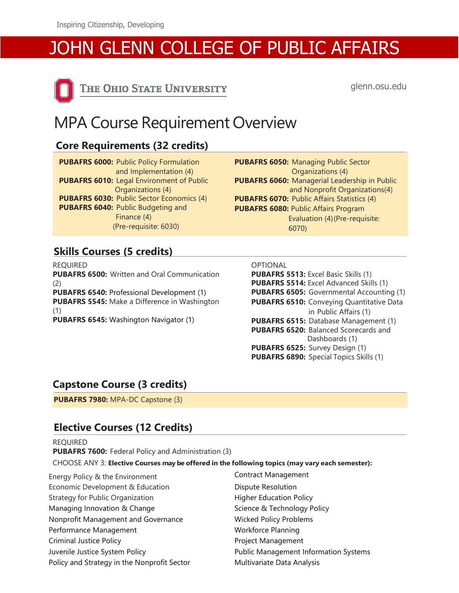# JOHN GLENN COLLEGE OF PUBLIC AFFAIRS



THE OHIO STATE UNIVERSITY

glenn.osu.edu

## MPA Course Requirement Overview

## **Core Requirements (32 credits)**

**PUBAFRS 6000:** Public Policy Formulation and Implementation (4) **PUBAFRS 6010:** Legal Environment of Public Organizations (4) **PUBAFRS 6030:** Public Sector Economics (4) **PUBAFRS 6040:** Public Budgeting and Finance (4) (Pre-requisite: 6030)

**PUBAFRS 6050:** Managing Public Sector Organizations (4) **PUBAFRS 6060:** Managerial Leadership in Public and Nonprofit Organizations(4) **PUBAFRS 6070:** Public Affairs Statistics (4) **PUBAFRS 6080:** Public Affairs Program Evaluation (4)(Pre-requisite: 6070)

## **Skills Courses (5 credits)**

REQUIRED **PUBAFRS 6500:** Written and Oral Communication (2) **PUBAFRS 6540:** Professional Development (1) **PUBAFRS 5545:** Make a Difference in Washington (1)

**PUBAFRS 6545:** Washington Navigator (1)

| OPTIONAL |  |
|----------|--|
|          |  |
|          |  |

**PUBAFRS 5513:** Excel Basic Skills (1) **PUBAFRS 5514:** Excel Advanced Skills (1) **PUBAFRS 6505:** Governmental Accounting (1) **PUBAFRS 6510:** Conveying Quantitative Data in Public Affairs (1) **PUBAFRS 6515:** Database Management (1) **PUBAFRS 6520:** Balanced Scorecards and Dashboards (1) **PUBAFRS 6525:** Survey Design (1) **PUBAFRS 6890:** Special Topics Skills (1)

#### **Capstone Course (3 credits)**

**PUBAFRS 7980:** MPA-DC Capstone (3)

## **Elective Courses (12 Credits)**

REQUIRED **PUBAFRS 7600:** Federal Policy and Administration (3) CHOOSE ANY 3: **Elective Courses may be offered in the following topics (may vary each semester):**

- Energy Policy & the Environment Contract Management Economic Development & Education **Dispute Resolution** Strategy for Public Organization **Fight Control** Higher Education Policy Managing Innovation & Change Science & Technology Policy Nonprofit Management and Governance Wicked Policy Problems Performance Management Workforce Planning Criminal Justice Policy **Project Management** Juvenile Justice System Policy **Public Management Information Systems** Policy and Strategy in the Nonprofit Sector Multivariate Data Analysis
-